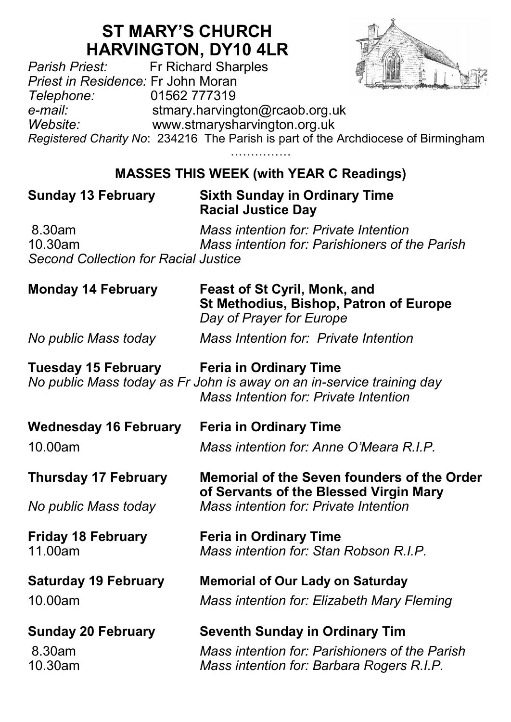# **ST MARY'S CHURCH HARVINGTON, DY10 4LR**<br>Fr Richard Sharples



*Pr Richard Sharples Priest in Residence:* Fr John Moran *Telephone:* 01562 777319 *e-mail:* stmary.harvington@rcaob.org.uk *Website:* www.stmarysharvington.org.uk *Registered Charity No*: 234216 The Parish is part of the Archdiocese of Birmingham

………………

## **MASSES THIS WEEK (with YEAR C Readings)**

#### **Sunday 13 February Sixth Sunday in Ordinary Time Racial Justice Day**

8.30am *Mass intention for: Private Intention* 10.30am *Mass intention for: Parishioners of the Parish Second Collection for Racial Justice*

| <b>Monday 14 February</b>            | Feast of St Cyril, Monk, and<br>St Methodius, Bishop, Patron of Europe<br>Day of Prayer for Europe                                       |
|--------------------------------------|------------------------------------------------------------------------------------------------------------------------------------------|
| No public Mass today                 | Mass Intention for: Private Intention                                                                                                    |
| <b>Tuesday 15 February</b>           | Feria in Ordinary Time<br>No public Mass today as Fr John is away on an in-service training day<br>Mass Intention for: Private Intention |
| <b>Wednesday 16 February</b>         | <b>Feria in Ordinary Time</b>                                                                                                            |
| 10.00am                              | Mass intention for: Anne O'Meara R.I.P.                                                                                                  |
| <b>Thursday 17 February</b>          | Memorial of the Seven founders of the Order<br>of Servants of the Blessed Virgin Mary                                                    |
| No public Mass today                 | Mass intention for: Private Intention                                                                                                    |
| <b>Friday 18 February</b><br>11.00am | <b>Feria in Ordinary Time</b><br>Mass intention for: Stan Robson R.I.P.                                                                  |
| <b>Saturday 19 February</b>          | <b>Memorial of Our Lady on Saturday</b>                                                                                                  |
| 10.00am                              | Mass intention for: Elizabeth Mary Fleming                                                                                               |
| <b>Sunday 20 February</b>            | <b>Seventh Sunday in Ordinary Tim</b>                                                                                                    |
| 8.30am<br>10.30am                    | Mass intention for: Parishioners of the Parish<br>Mass intention for: Barbara Rogers R.I.P.                                              |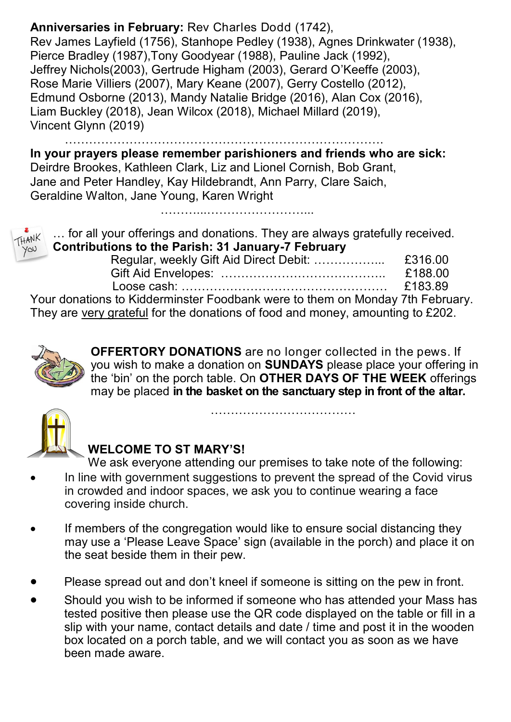#### **Anniversaries in February:** Rev Charles Dodd (1742),

Rev James Layfield (1756), Stanhope Pedley (1938), Agnes Drinkwater (1938), Pierce Bradley (1987),Tony Goodyear (1988), Pauline Jack (1992), Jeffrey Nichols(2003), Gertrude Higham (2003), Gerard O'Keeffe (2003), Rose Marie Villiers (2007), Mary Keane (2007), Gerry Costello (2012), Edmund Osborne (2013), Mandy Natalie Bridge (2016), Alan Cox (2016), Liam Buckley (2018), Jean Wilcox (2018), Michael Millard (2019), Vincent Glynn (2019)

……………………………………………………………………. **In your prayers please remember parishioners and friends who are sick:** 

Deirdre Brookes, Kathleen Clark, Liz and Lionel Cornish, Bob Grant, Jane and Peter Handley, Kay Hildebrandt, Ann Parry, Clare Saich, Geraldine Walton, Jane Young, Karen Wright

………...……………………...



… for all your offerings and donations. They are always gratefully received. **Contributions to the Parish: 31 January-7 February**

| Vour depatiens to Kidderminster Essabenk were to them on Menday 7th Esbru |  |
|---------------------------------------------------------------------------|--|

Your donations to Kidderminster Foodbank were to them on Monday 7th February. They are very grateful for the donations of food and money, amounting to £202.



**OFFERTORY DONATIONS** are no longer collected in the pews. If you wish to make a donation on **SUNDAYS** please place your offering in the 'bin' on the porch table. On **OTHER DAYS OF THE WEEK** offerings may be placed **in the basket on the sanctuary step in front of the altar.** 

………………………………



### **WELCOME TO ST MARY'S!**

- We ask everyone attending our premises to take note of the following: In line with government suggestions to prevent the spread of the Covid virus in crowded and indoor spaces, we ask you to continue wearing a face covering inside church.
- If members of the congregation would like to ensure social distancing they may use a 'Please Leave Space' sign (available in the porch) and place it on the seat beside them in their pew.
- Please spread out and don't kneel if someone is sitting on the pew in front.
- Should you wish to be informed if someone who has attended your Mass has tested positive then please use the QR code displayed on the table or fill in a slip with your name, contact details and date / time and post it in the wooden box located on a porch table, and we will contact you as soon as we have been made aware.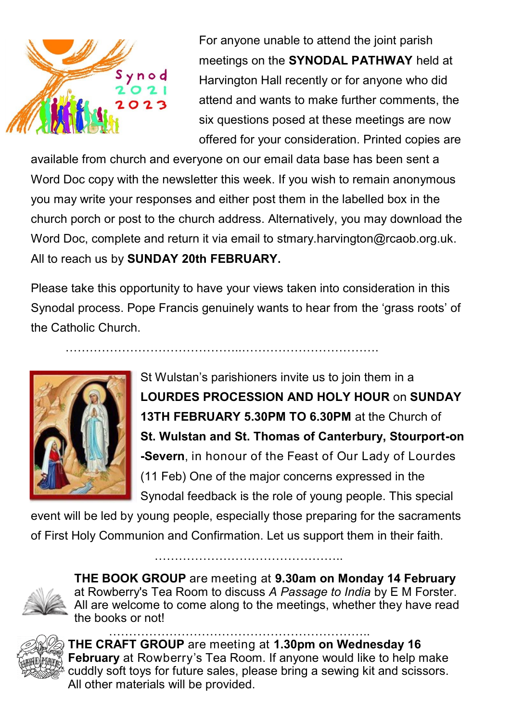

For anyone unable to attend the joint parish meetings on the **SYNODAL PATHWAY** held at Harvington Hall recently or for anyone who did attend and wants to make further comments, the six questions posed at these meetings are now offered for your consideration. Printed copies are

available from church and everyone on our email data base has been sent a Word Doc copy with the newsletter this week. If you wish to remain anonymous you may write your responses and either post them in the labelled box in the church porch or post to the church address. Alternatively, you may download the Word Doc, complete and return it via email to stmary.harvington@rcaob.org.uk. All to reach us by **SUNDAY 20th FEBRUARY.**

Please take this opportunity to have your views taken into consideration in this Synodal process. Pope Francis genuinely wants to hear from the 'grass roots' of the Catholic Church.



St Wulstan's parishioners invite us to join them in a **LOURDES PROCESSION AND HOLY HOUR** on **SUNDAY 13TH FEBRUARY 5.30PM TO 6.30PM** at the Church of **St. Wulstan and St. Thomas of Canterbury, Stourport-on -Severn**, in honour of the Feast of Our Lady of Lourdes (11 Feb) One of the major concerns expressed in the Synodal feedback is the role of young people. This special

event will be led by young people, especially those preparing for the sacraments of First Holy Communion and Confirmation. Let us support them in their faith.

………………………………………..

**THE BOOK GROUP** are meeting at **9.30am on Monday 14 February**  at Rowberry's Tea Room to discuss *A Passage to India* by E M Forster. All are welcome to come along to the meetings, whether they have read the books or not! ………………………………………………………..



**THE CRAFT GROUP** are meeting at **1.30pm on Wednesday 16 February** at Rowberry's Tea Room. If anyone would like to help make cuddly soft toys for future sales, please bring a sewing kit and scissors. All other materials will be provided.